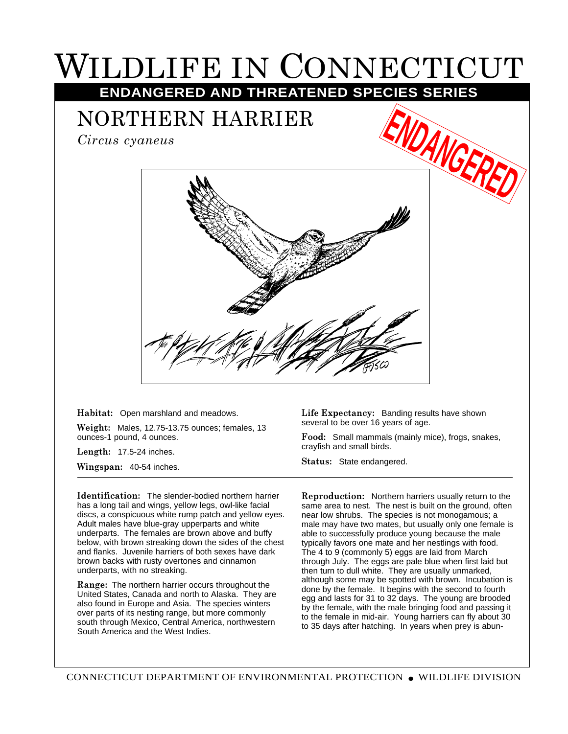## WILDLIFE IN CONNECTICUT **ENDANGERED AND THREATENED SPECIES SERIES**

NORTHERN HARRIER

*Circus cyaneus*



**Habitat:** Open marshland and meadows.

**Weight:** Males, 12.75-13.75 ounces; females, 13 ounces-1 pound, 4 ounces.

**Length:** 17.5-24 inches.

**Wingspan:** 40-54 inches.

**Identification:** The slender-bodied northern harrier has a long tail and wings, yellow legs, owl-like facial discs, a conspicuous white rump patch and yellow eyes. Adult males have blue-gray upperparts and white underparts. The females are brown above and buffy below, with brown streaking down the sides of the chest and flanks. Juvenile harriers of both sexes have dark brown backs with rusty overtones and cinnamon underparts, with no streaking.

**Range:** The northern harrier occurs throughout the United States, Canada and north to Alaska. They are also found in Europe and Asia. The species winters over parts of its nesting range, but more commonly south through Mexico, Central America, northwestern South America and the West Indies.

**Life Expectancy:** Banding results have shown several to be over 16 years of age.

**Food:** Small mammals (mainly mice), frogs, snakes, crayfish and small birds.

**Status:** State endangered.

**Reproduction:** Northern harriers usually return to the same area to nest. The nest is built on the ground, often near low shrubs. The species is not monogamous; a male may have two mates, but usually only one female is able to successfully produce young because the male typically favors one mate and her nestlings with food. The 4 to 9 (commonly 5) eggs are laid from March through July. The eggs are pale blue when first laid but then turn to dull white. They are usually unmarked, although some may be spotted with brown. Incubation is done by the female. It begins with the second to fourth egg and lasts for 31 to 32 days. The young are brooded by the female, with the male bringing food and passing it to the female in mid-air. Young harriers can fly about 30 to 35 days after hatching. In years when prey is abun-

CONNECTICUT DEPARTMENT OF ENVIRONMENTAL PROTECTION ● WILDLIFE DIVISION